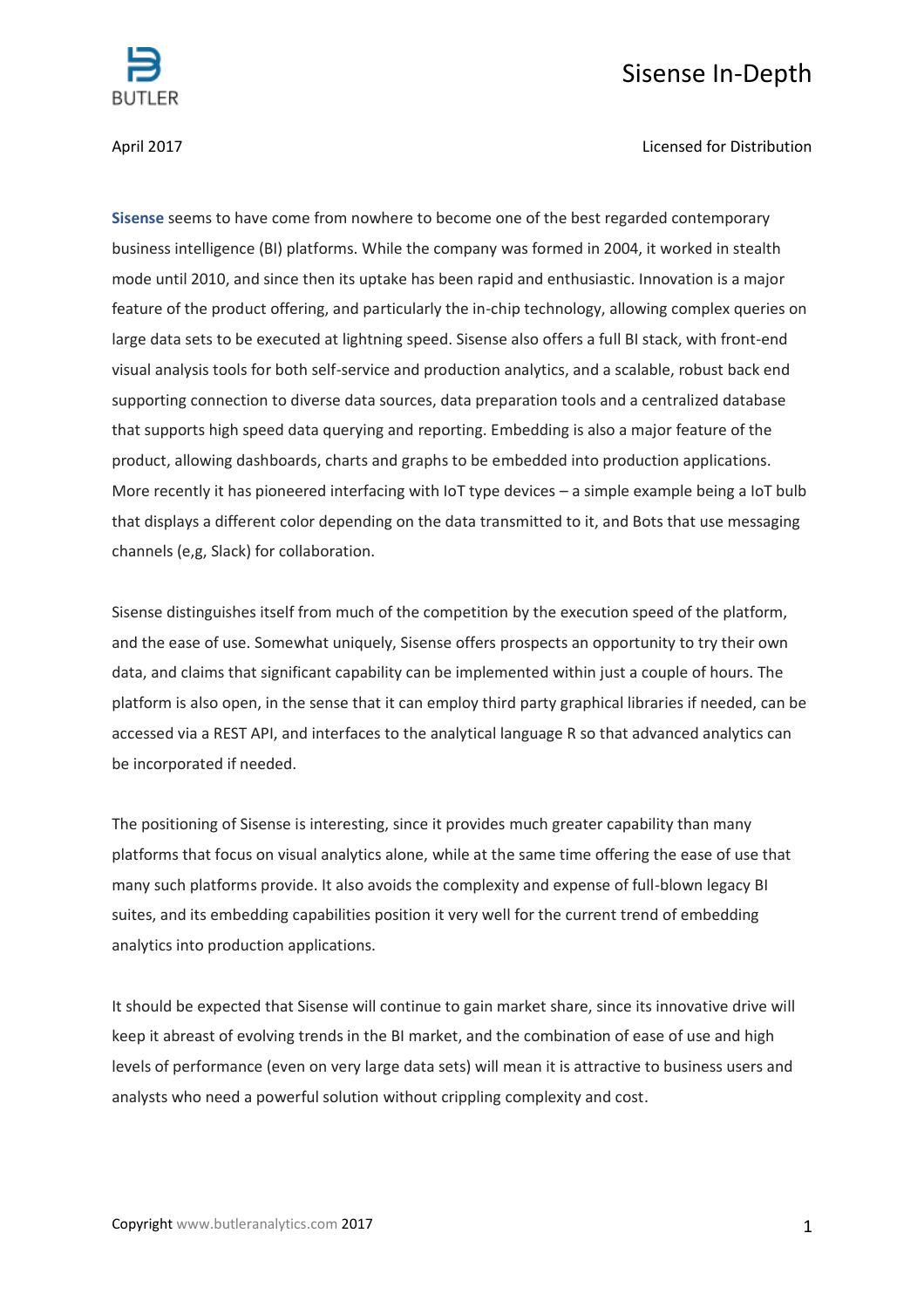

## Sisense In-Depth

## April 2017 Licensed for Distribution

**[Sisense](https://www.sisense.com/)** seems to have come from nowhere to become one of the best regarded contemporary business intelligence (BI) platforms. While the company was formed in 2004, it worked in stealth mode until 2010, and since then its uptake has been rapid and enthusiastic. Innovation is a major feature of the product offering, and particularly the in-chip technology, allowing complex queries on large data sets to be executed at lightning speed. Sisense also offers a full BI stack, with front-end visual analysis tools for both self-service and production analytics, and a scalable, robust back end supporting connection to diverse data sources, data preparation tools and a centralized database that supports high speed data querying and reporting. Embedding is also a major feature of the product, allowing dashboards, charts and graphs to be embedded into production applications. More recently it has pioneered interfacing with IoT type devices – a simple example being a IoT bulb that displays a different color depending on the data transmitted to it, and Bots that use messaging channels (e,g, Slack) for collaboration.

Sisense distinguishes itself from much of the competition by the execution speed of the platform, and the ease of use. Somewhat uniquely, Sisense offers prospects an opportunity to try their own data, and claims that significant capability can be implemented within just a couple of hours. The platform is also open, in the sense that it can employ third party graphical libraries if needed, can be accessed via a REST API, and interfaces to the analytical language R so that advanced analytics can be incorporated if needed.

The positioning of Sisense is interesting, since it provides much greater capability than many platforms that focus on visual analytics alone, while at the same time offering the ease of use that many such platforms provide. It also avoids the complexity and expense of full-blown legacy BI suites, and its embedding capabilities position it very well for the current trend of embedding analytics into production applications.

It should be expected that Sisense will continue to gain market share, since its innovative drive will keep it abreast of evolving trends in the BI market, and the combination of ease of use and high levels of performance (even on very large data sets) will mean it is attractive to business users and analysts who need a powerful solution without crippling complexity and cost.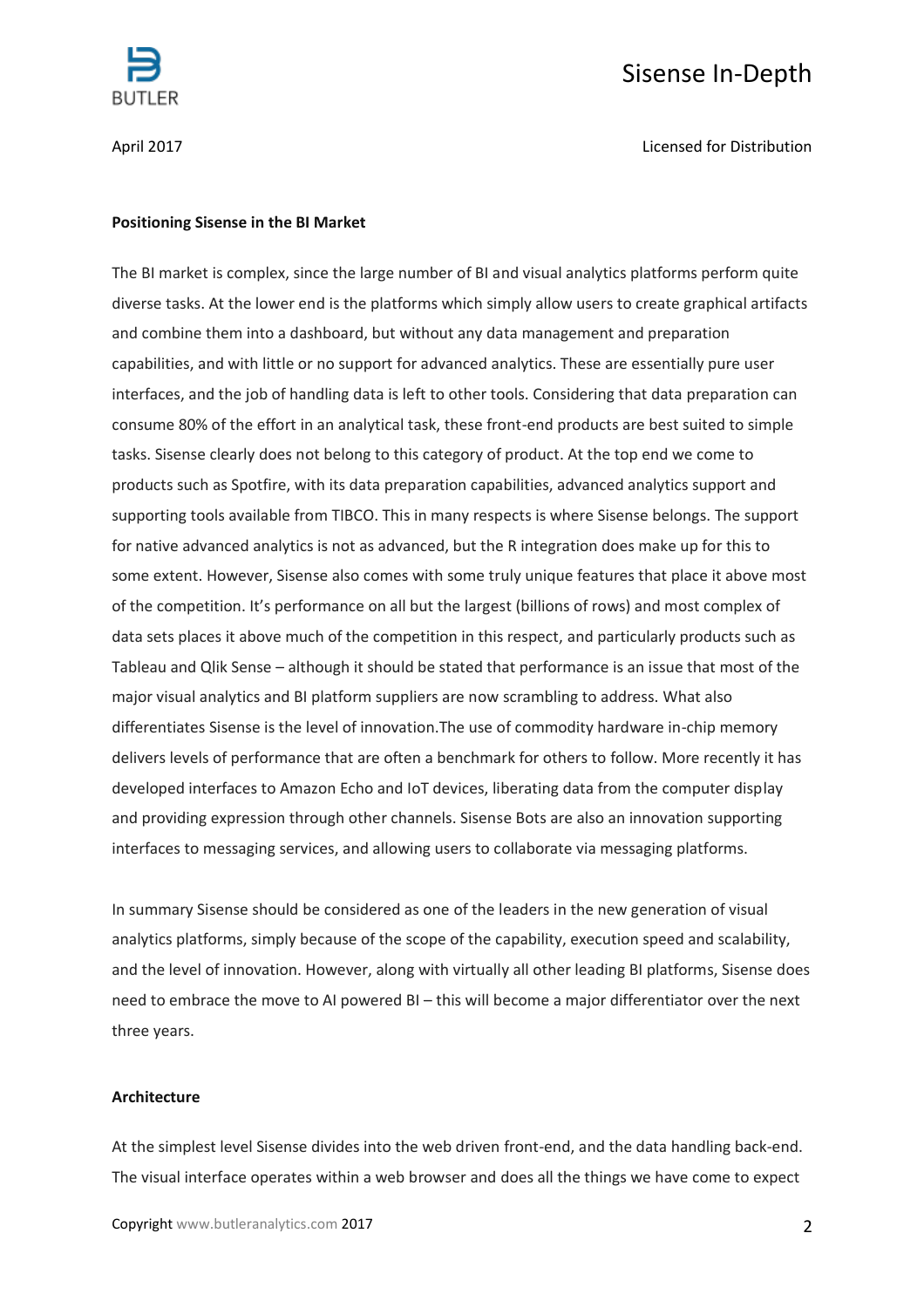

# Sisense In-Depth

April 2017 Licensed for Distribution

#### **Positioning Sisense in the BI Market**

The BI market is complex, since the large number of BI and visual analytics platforms perform quite diverse tasks. At the lower end is the platforms which simply allow users to create graphical artifacts and combine them into a dashboard, but without any data management and preparation capabilities, and with little or no support for advanced analytics. These are essentially pure user interfaces, and the job of handling data is left to other tools. Considering that data preparation can consume 80% of the effort in an analytical task, these front-end products are best suited to simple tasks. Sisense clearly does not belong to this category of product. At the top end we come to products such as Spotfire, with its data preparation capabilities, advanced analytics support and supporting tools available from TIBCO. This in many respects is where Sisense belongs. The support for native advanced analytics is not as advanced, but the R integration does make up for this to some extent. However, Sisense also comes with some truly unique features that place it above most of the competition. It's performance on all but the largest (billions of rows) and most complex of data sets places it above much of the competition in this respect, and particularly products such as Tableau and Qlik Sense – although it should be stated that performance is an issue that most of the major visual analytics and BI platform suppliers are now scrambling to address. What also differentiates Sisense is the level of innovation.The use of commodity hardware in-chip memory delivers levels of performance that are often a benchmark for others to follow. More recently it has developed interfaces to Amazon Echo and IoT devices, liberating data from the computer display and providing expression through other channels. Sisense Bots are also an innovation supporting interfaces to messaging services, and allowing users to collaborate via messaging platforms.

In summary Sisense should be considered as one of the leaders in the new generation of visual analytics platforms, simply because of the scope of the capability, execution speed and scalability, and the level of innovation. However, along with virtually all other leading BI platforms, Sisense does need to embrace the move to AI powered BI – this will become a major differentiator over the next three years.

## **Architecture**

At the simplest level Sisense divides into the web driven front-end, and the data handling back-end. The visual interface operates within a web browser and does all the things we have come to expect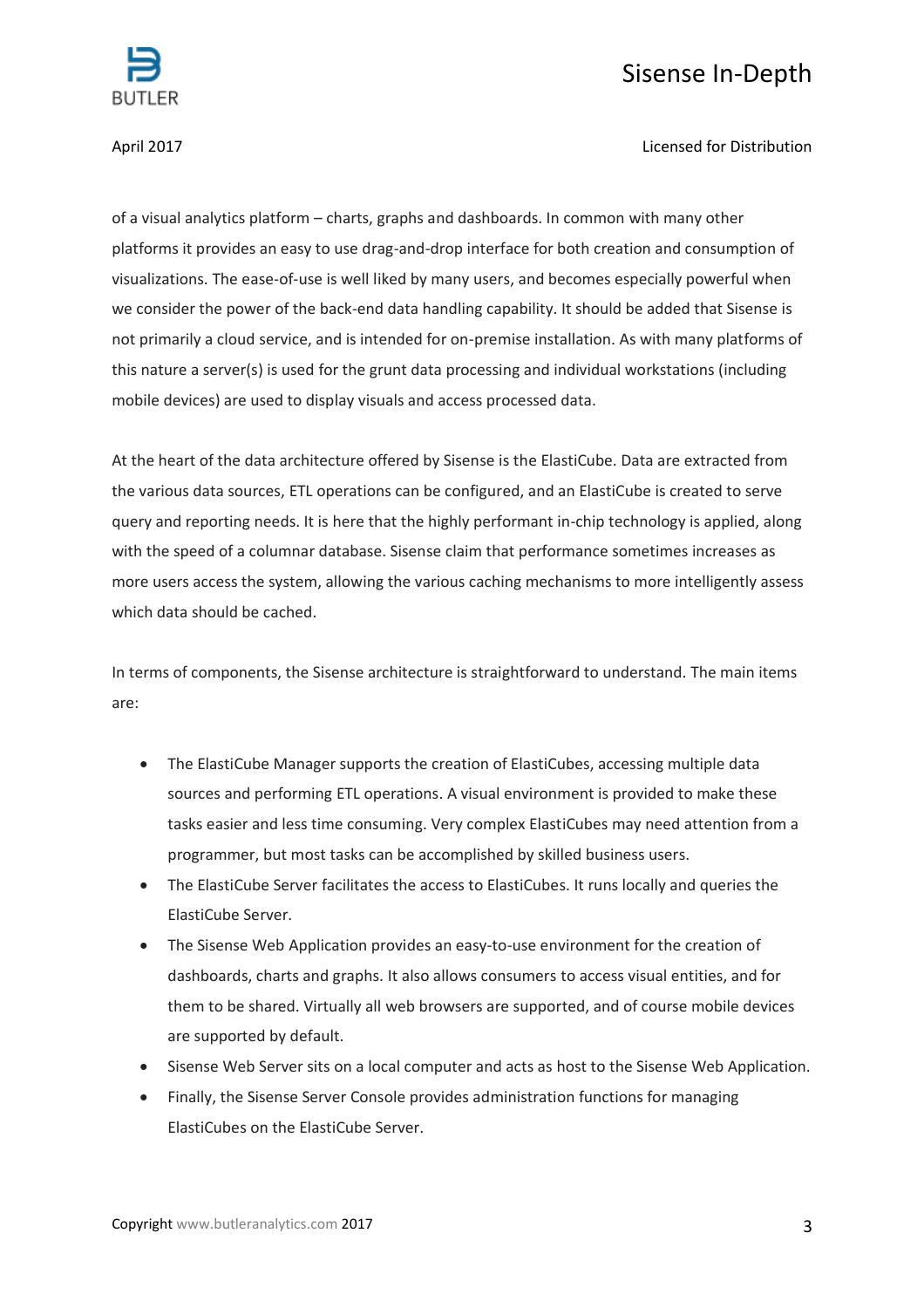

# Sisense In-Depth

April 2017 Licensed for Distribution

of a visual analytics platform – charts, graphs and dashboards. In common with many other platforms it provides an easy to use drag-and-drop interface for both creation and consumption of visualizations. The ease-of-use is well liked by many users, and becomes especially powerful when we consider the power of the back-end data handling capability. It should be added that Sisense is not primarily a cloud service, and is intended for on-premise installation. As with many platforms of this nature a server(s) is used for the grunt data processing and individual workstations (including mobile devices) are used to display visuals and access processed data.

At the heart of the data architecture offered by Sisense is the ElastiCube. Data are extracted from the various data sources, ETL operations can be configured, and an ElastiCube is created to serve query and reporting needs. It is here that the highly performant in-chip technology is applied, along with the speed of a columnar database. Sisense claim that performance sometimes increases as more users access the system, allowing the various caching mechanisms to more intelligently assess which data should be cached.

In terms of components, the Sisense architecture is straightforward to understand. The main items are:

- The ElastiCube Manager supports the creation of ElastiCubes, accessing multiple data sources and performing ETL operations. A visual environment is provided to make these tasks easier and less time consuming. Very complex ElastiCubes may need attention from a programmer, but most tasks can be accomplished by skilled business users.
- The ElastiCube Server facilitates the access to ElastiCubes. It runs locally and queries the ElastiCube Server.
- The Sisense Web Application provides an easy-to-use environment for the creation of dashboards, charts and graphs. It also allows consumers to access visual entities, and for them to be shared. Virtually all web browsers are supported, and of course mobile devices are supported by default.
- Sisense Web Server sits on a local computer and acts as host to the Sisense Web Application.
- Finally, the Sisense Server Console provides administration functions for managing ElastiCubes on the ElastiCube Server.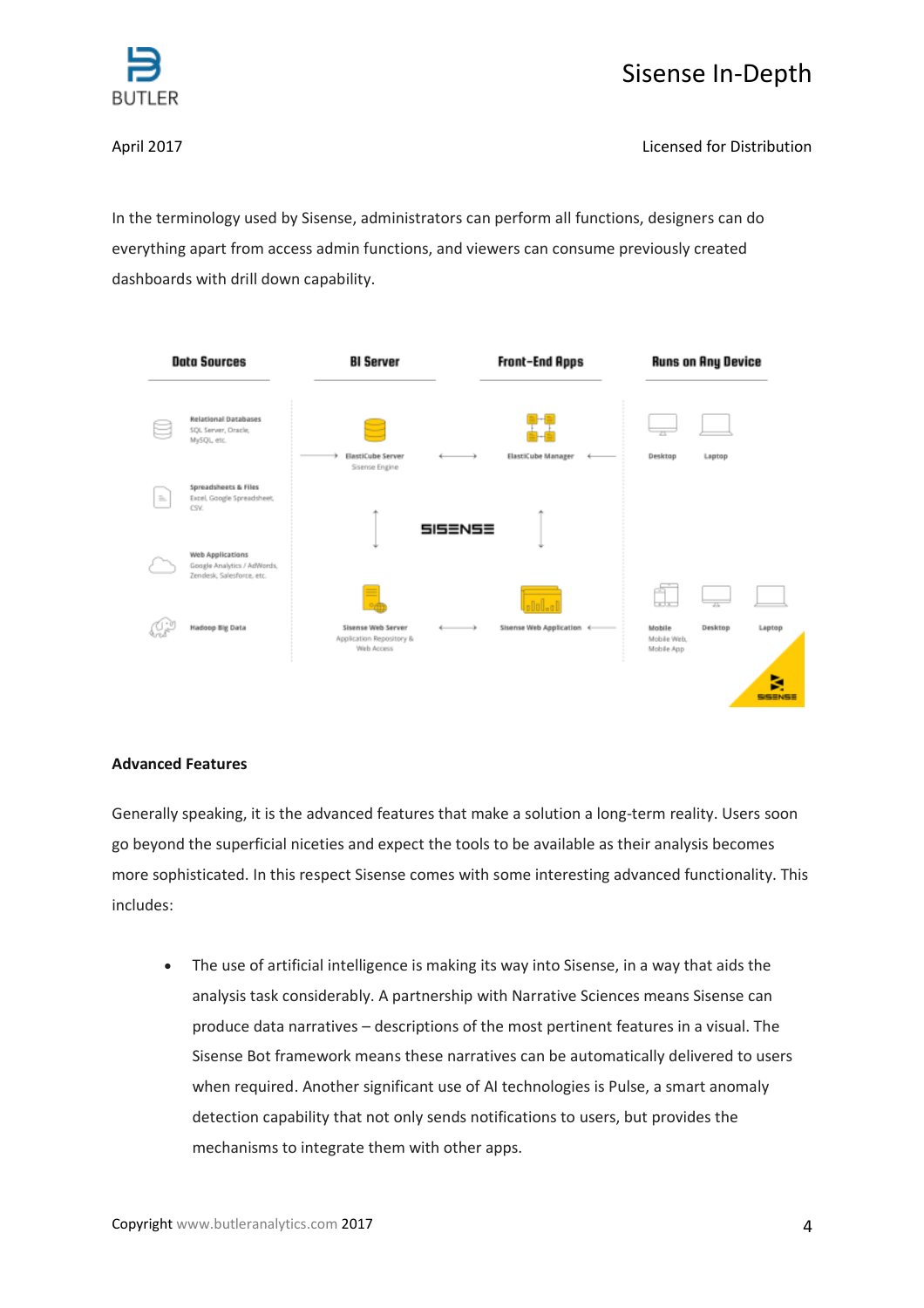



April 2017 Licensed for Distribution

In the terminology used by Sisense, administrators can perform all functions, designers can do everything apart from access admin functions, and viewers can consume previously created dashboards with drill down capability.



## **Advanced Features**

Generally speaking, it is the advanced features that make a solution a long-term reality. Users soon go beyond the superficial niceties and expect the tools to be available as their analysis becomes more sophisticated. In this respect Sisense comes with some interesting advanced functionality. This includes:

• The use of artificial intelligence is making its way into Sisense, in a way that aids the analysis task considerably. A partnership with Narrative Sciences means Sisense can produce data narratives – descriptions of the most pertinent features in a visual. The Sisense Bot framework means these narratives can be automatically delivered to users when required. Another significant use of AI technologies is Pulse, a smart anomaly detection capability that not only sends notifications to users, but provides the mechanisms to integrate them with other apps.